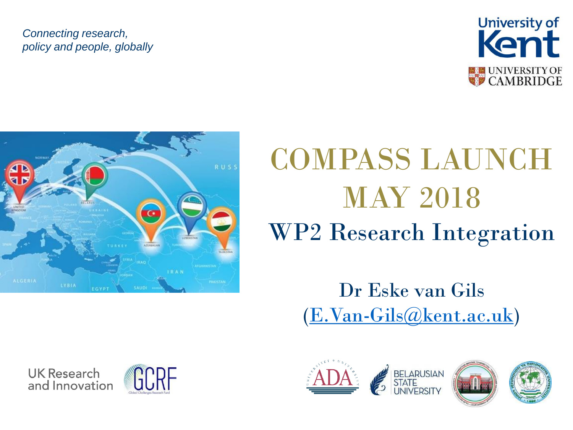#### *Connecting research, policy and people, globally*





# COMPASS LAUNCH MAY 2018 WP2 Research Integration

### Dr Eske van Gils ([E.Van-Gils@kent.ac.uk](mailto:E.Van-Gils@kent.ac.uk))





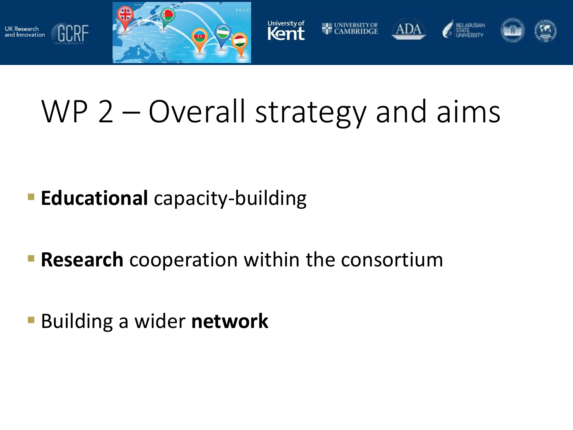

UK Research<br>and Innovation

GCRF



# WP 2 – Overall strategy and aims

- **Educational** capacity-building
- **Research** cooperation within the consortium
- Building a wider **network**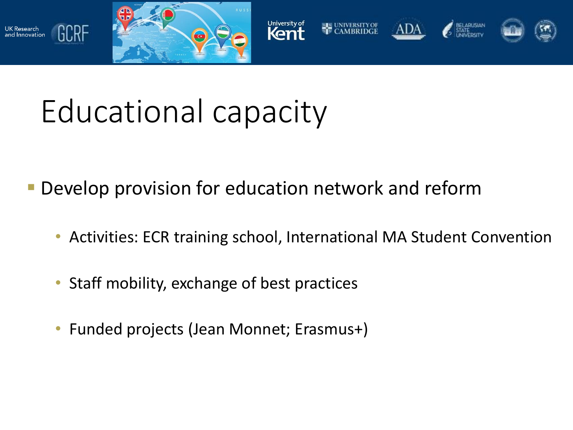

GCRF

and Innovation



# Educational capacity

- Develop provision for education network and reform
	- Activities: ECR training school, International MA Student Convention
	- Staff mobility, exchange of best practices
	- Funded projects (Jean Monnet; Erasmus+)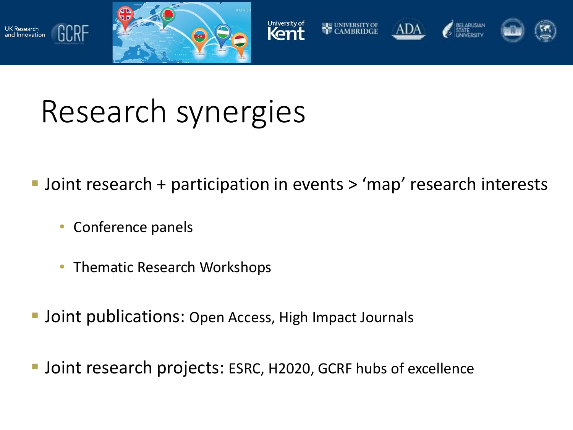



# Research synergies

- **Joint research + participation in events > 'map' research interests** 
	- Conference panels

GCRF

אכ<br>and Innovation

- Thematic Research Workshops
- Joint publications: Open Access, High Impact Journals
- **Joint research projects: ESRC, H2020, GCRF hubs of excellence**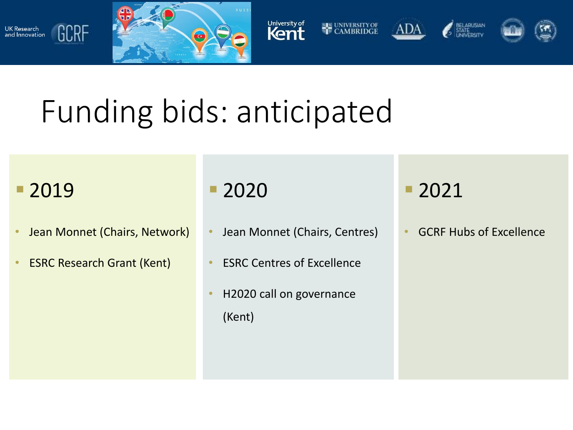



# Funding bids: anticipated

### ■ 2019

GCRF

UK Research<br>and Innovation

- Jean Monnet (Chairs, Network)
- **ESRC Research Grant (Kent)**

■ 2020

- Jean Monnet (Chairs, Centres)
- ESRC Centres of Excellence
- H2020 call on governance (Kent)

2021

• GCRF Hubs of Excellence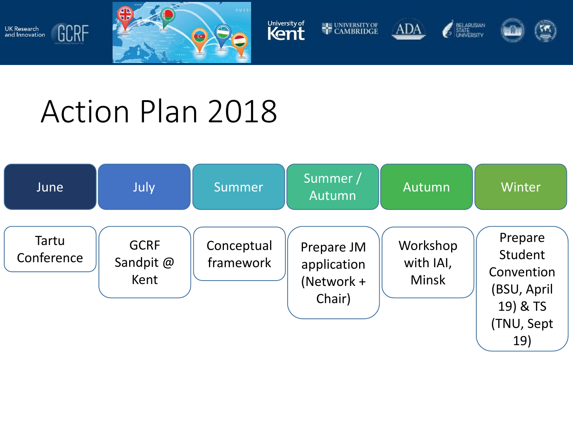











# Action Plan 2018

UK Research<br>and Innovation

GCRF